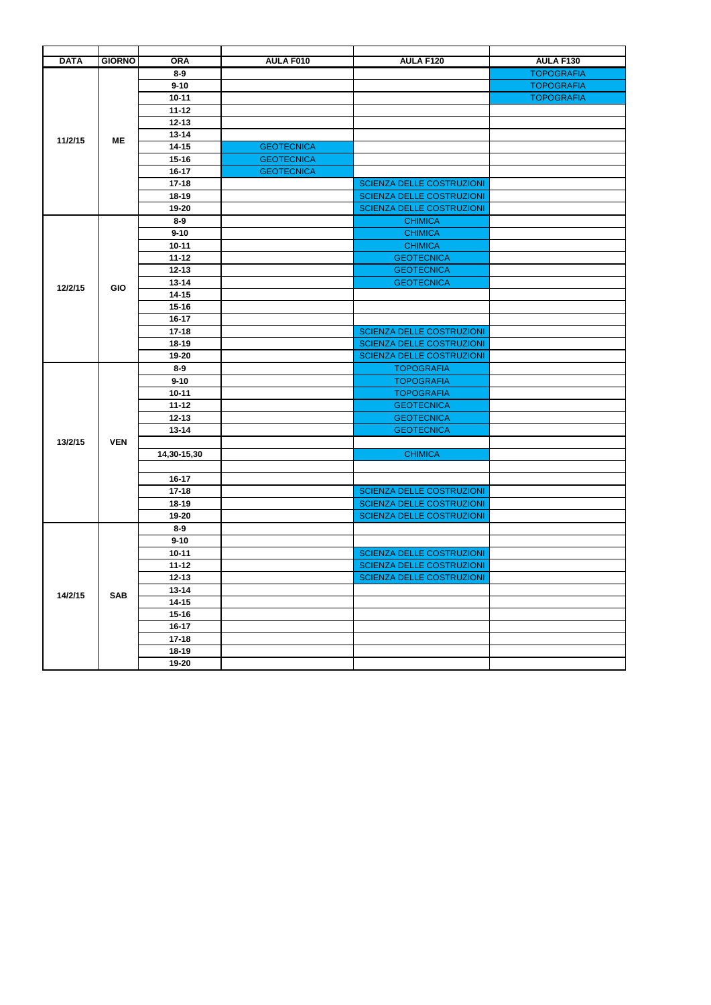| <b>DATA</b> | <b>GIORNO</b> | <b>ORA</b>             | AULA F010         | AULA F120                        | AULA F130         |
|-------------|---------------|------------------------|-------------------|----------------------------------|-------------------|
|             |               | $8 - 9$                |                   |                                  | <b>TOPOGRAFIA</b> |
|             |               | $9 - 10$               |                   |                                  | <b>TOPOGRAFIA</b> |
|             |               | $10 - 11$              |                   |                                  | <b>TOPOGRAFIA</b> |
|             |               | $11 - 12$              |                   |                                  |                   |
|             |               | $12 - 13$              |                   |                                  |                   |
| 11/2/15     | <b>ME</b>     | $13 - 14$<br>$14 - 15$ | <b>GEOTECNICA</b> |                                  |                   |
|             |               | $15 - 16$              |                   |                                  |                   |
|             |               | $16-17$                | <b>GEOTECNICA</b> |                                  |                   |
|             |               | $17 - 18$              | <b>GEOTECNICA</b> | <b>SCIENZA DELLE COSTRUZIONI</b> |                   |
|             |               | $18 - 19$              |                   | <b>SCIENZA DELLE COSTRUZIONI</b> |                   |
|             |               | 19-20                  |                   | <b>SCIENZA DELLE COSTRUZIONI</b> |                   |
|             |               | $8-9$                  |                   | <b>CHIMICA</b>                   |                   |
|             |               | $9 - 10$               |                   | <b>CHIMICA</b>                   |                   |
|             |               | $10 - 11$              |                   | <b>CHIMICA</b>                   |                   |
|             |               | $11 - 12$              |                   | <b>GEOTECNICA</b>                |                   |
|             |               | $12 - 13$              |                   | <b>GEOTECNICA</b>                |                   |
|             |               | $13 - 14$              |                   | <b>GEOTECNICA</b>                |                   |
| 12/2/15     | <b>GIO</b>    | $14 - 15$              |                   |                                  |                   |
|             |               | $15 - 16$              |                   |                                  |                   |
|             |               | $16-17$                |                   |                                  |                   |
|             |               | $17 - 18$              |                   | <b>SCIENZA DELLE COSTRUZIONI</b> |                   |
|             |               | $18-19$                |                   | <b>SCIENZA DELLE COSTRUZIONI</b> |                   |
|             |               | 19-20                  |                   | <b>SCIENZA DELLE COSTRUZIONI</b> |                   |
|             |               | $8-9$                  |                   | <b>TOPOGRAFIA</b>                |                   |
|             |               | $9 - 10$               |                   | <b>TOPOGRAFIA</b>                |                   |
|             |               | $10 - 11$              |                   | <b>TOPOGRAFIA</b>                |                   |
|             |               | $11 - 12$              |                   | <b>GEOTECNICA</b>                |                   |
|             |               | $12 - 13$              |                   | <b>GEOTECNICA</b>                |                   |
|             |               | $13 - 14$              |                   | <b>GEOTECNICA</b>                |                   |
| 13/2/15     | <b>VEN</b>    |                        |                   |                                  |                   |
|             |               | 14,30-15,30            |                   | <b>CHIMICA</b>                   |                   |
|             |               |                        |                   |                                  |                   |
|             |               | $16 - 17$              |                   |                                  |                   |
|             |               | $17 - 18$              |                   | <b>SCIENZA DELLE COSTRUZIONI</b> |                   |
|             |               | $18 - 19$              |                   | <b>SCIENZA DELLE COSTRUZIONI</b> |                   |
|             |               | 19-20                  |                   | <b>SCIENZA DELLE COSTRUZIONI</b> |                   |
|             |               | $8 - 9$                |                   |                                  |                   |
|             |               | $9 - 10$               |                   |                                  |                   |
|             |               | $10 - 11$              |                   | <b>SCIENZA DELLE COSTRUZIONI</b> |                   |
|             |               | $11 - 12$              |                   | <b>SCIENZA DELLE COSTRUZIONI</b> |                   |
|             |               | $12 - 13$              |                   | <b>SCIENZA DELLE COSTRUZIONI</b> |                   |
| 14/2/15     | <b>SAB</b>    | $13 - 14$              |                   |                                  |                   |
|             |               | $14 - 15$              |                   |                                  |                   |
|             |               | $15 - 16$              |                   |                                  |                   |
|             |               | $16 - 17$              |                   |                                  |                   |
|             |               | $17 - 18$              |                   |                                  |                   |
|             |               | $18 - 19$              |                   |                                  |                   |
|             |               | 19-20                  |                   |                                  |                   |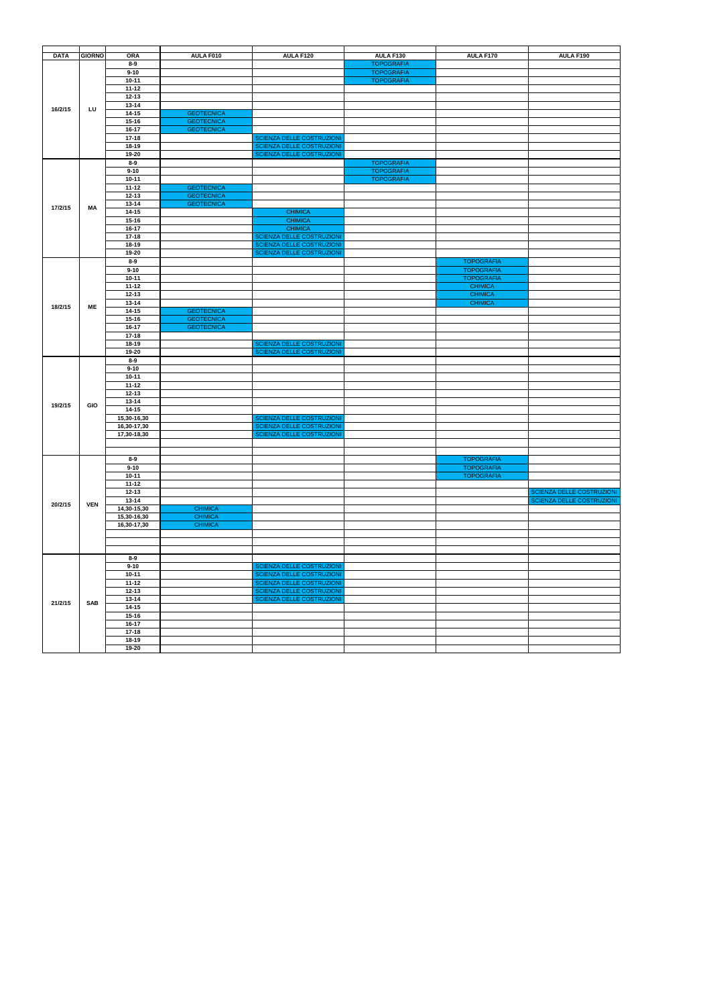| <b>DATA</b> | <b>GIORNO</b> | <b>ORA</b><br>$8-9$        | AULA F010                              | AULA F120                                              | AULA F130<br><b>TOPOGRAFIA</b> | AULA F170         | AULA F190                                              |
|-------------|---------------|----------------------------|----------------------------------------|--------------------------------------------------------|--------------------------------|-------------------|--------------------------------------------------------|
|             |               | $9 - 10$                   |                                        |                                                        | <b>TOPOGRAFIA</b>              |                   |                                                        |
|             |               | $10 - 11$                  |                                        |                                                        | <b>TOPOGRAFIA</b>              |                   |                                                        |
|             |               | $11 - 12$                  |                                        |                                                        |                                |                   |                                                        |
|             |               | $12 - 13$                  |                                        |                                                        |                                |                   |                                                        |
| 16/2/15     | LU            | $13 - 14$                  |                                        |                                                        |                                |                   |                                                        |
|             |               | $14 - 15$                  | <b>GEOTECNICA</b>                      |                                                        |                                |                   |                                                        |
|             |               | $15 - 16$<br>16-17         | <b>GEOTECNICA</b><br><b>GEOTECNICA</b> |                                                        |                                |                   |                                                        |
|             |               | $17 - 18$                  |                                        | SCIENZA DELLE COSTRUZIONI                              |                                |                   |                                                        |
|             |               | 18-19                      |                                        | SCIENZA DELLE COSTRUZIONI                              |                                |                   |                                                        |
|             |               | 19-20                      |                                        | SCIENZA DELLE COSTRUZIONI                              |                                |                   |                                                        |
|             |               | $8-9$                      |                                        |                                                        | <b>TOPOGRAFIA</b>              |                   |                                                        |
|             |               | $9 - 10$                   |                                        |                                                        | <b>TOPOGRAFIA</b>              |                   |                                                        |
|             |               | $10 - 11$<br>$11 - 12$     |                                        |                                                        | <b>TOPOGRAFIA</b>              |                   |                                                        |
|             |               | $12 - 13$                  | <b>GEOTECNICA</b><br><b>GEOTECNICA</b> |                                                        |                                |                   |                                                        |
|             |               | 13-14                      | <b>GEOTECNICA</b>                      |                                                        |                                |                   |                                                        |
| 17/2/15     | ΜA            | $14 - 15$                  |                                        | <b>CHIMICA</b>                                         |                                |                   |                                                        |
|             |               | $15 - 16$                  |                                        | <b>CHIMICA</b>                                         |                                |                   |                                                        |
|             |               | 16-17                      |                                        | <b>CHIMICA</b>                                         |                                |                   |                                                        |
|             |               | $17 - 18$                  |                                        | SCIENZA DELLE COSTRUZIONI                              |                                |                   |                                                        |
|             |               | 18-19<br>19-20             |                                        | SCIENZA DELLE COSTRUZIONI<br>SCIENZA DELLE COSTRUZIONI |                                |                   |                                                        |
|             |               | $8-9$                      |                                        |                                                        |                                | <b>TOPOGRAFIA</b> |                                                        |
|             |               | $9 - 10$                   |                                        |                                                        |                                | <b>TOPOGRAFIA</b> |                                                        |
|             |               | $10 - 11$                  |                                        |                                                        |                                | <b>TOPOGRAFIA</b> |                                                        |
|             |               | $11 - 12$                  |                                        |                                                        |                                | <b>CHIMICA</b>    |                                                        |
|             |               | $12 - 13$                  |                                        |                                                        |                                | <b>CHIMICA</b>    |                                                        |
| 18/2/15     | ME            | $13 - 14$                  |                                        |                                                        |                                | <b>CHIMICA</b>    |                                                        |
|             |               | $14 - 15$<br>$15 - 16$     | <b>GEOTECNICA</b><br><b>GEOTECNICA</b> |                                                        |                                |                   |                                                        |
|             |               | 16-17                      | <b>GEOTECNICA</b>                      |                                                        |                                |                   |                                                        |
|             |               | $17 - 18$                  |                                        |                                                        |                                |                   |                                                        |
|             |               | 18-19                      |                                        | SCIENZA DELLE COSTRUZIONI                              |                                |                   |                                                        |
|             |               | 19-20                      |                                        | SCIENZA DELLE COSTRUZIONI                              |                                |                   |                                                        |
|             |               | $8-9$                      |                                        |                                                        |                                |                   |                                                        |
|             |               | $9 - 10$<br>$10 - 11$      |                                        |                                                        |                                |                   |                                                        |
|             |               | $11 - 12$                  |                                        |                                                        |                                |                   |                                                        |
|             |               | $12 - 13$                  |                                        |                                                        |                                |                   |                                                        |
| 19/2/15     | <b>GIO</b>    | $13 - 14$                  |                                        |                                                        |                                |                   |                                                        |
|             |               | $14 - 15$                  |                                        |                                                        |                                |                   |                                                        |
|             |               | 15,30-16,30                |                                        | SCIENZA DELLE COSTRUZIONI                              |                                |                   |                                                        |
|             |               | 16,30-17,30<br>17,30-18,30 |                                        | SCIENZA DELLE COSTRUZIONI<br>SCIENZA DELLE COSTRUZIONI |                                |                   |                                                        |
|             |               |                            |                                        |                                                        |                                |                   |                                                        |
|             |               |                            |                                        |                                                        |                                |                   |                                                        |
|             |               | $8-9$                      |                                        |                                                        |                                | <b>TOPOGRAFIA</b> |                                                        |
|             |               | $9 - 10$                   |                                        |                                                        |                                | <b>TOPOGRAFIA</b> |                                                        |
|             |               | $10 - 11$                  |                                        |                                                        |                                | <b>TOPOGRAFIA</b> |                                                        |
|             |               | $11 - 12$                  |                                        |                                                        |                                |                   |                                                        |
|             |               | $12 - 13$<br>$13-14$       |                                        |                                                        |                                |                   | SCIENZA DELLE COSTRUZIONI<br>SCIENZA DELLE COSTRUZIONI |
| 20/2/15     | <b>VEN</b>    | 14,30-15,30                | <b>CHIMICA</b>                         |                                                        |                                |                   |                                                        |
|             |               | 15,30-16,30                | <b>CHIMICA</b>                         |                                                        |                                |                   |                                                        |
|             |               | 16,30-17,30                | <b>CHIMICA</b>                         |                                                        |                                |                   |                                                        |
|             |               |                            |                                        |                                                        |                                |                   |                                                        |
|             |               |                            |                                        |                                                        |                                |                   |                                                        |
|             |               |                            |                                        |                                                        |                                |                   |                                                        |
|             |               | $8 - 9$<br>$9 - 10$        |                                        | SCIENZA DELLE COSTRUZIONI                              |                                |                   |                                                        |
|             |               | $10 - 11$                  |                                        | SCIENZA DELLE COSTRUZIONI                              |                                |                   |                                                        |
|             |               | $11 - 12$                  |                                        | SCIENZA DELLE COSTRUZIONI                              |                                |                   |                                                        |
|             |               | $12 - 13$                  |                                        | SCIENZA DELLE COSTRUZIONI                              |                                |                   |                                                        |
| 21/2/15     | <b>SAB</b>    | $13 - 14$                  |                                        | SCIENZA DELLE COSTRUZIONI                              |                                |                   |                                                        |
|             |               | $14-15$                    |                                        |                                                        |                                |                   |                                                        |
|             |               | $15 - 16$<br>16-17         |                                        |                                                        |                                |                   |                                                        |
|             |               | $17-18$                    |                                        |                                                        |                                |                   |                                                        |
|             |               | $18 - 19$                  |                                        |                                                        |                                |                   |                                                        |
|             |               | $19-20$                    |                                        |                                                        |                                |                   |                                                        |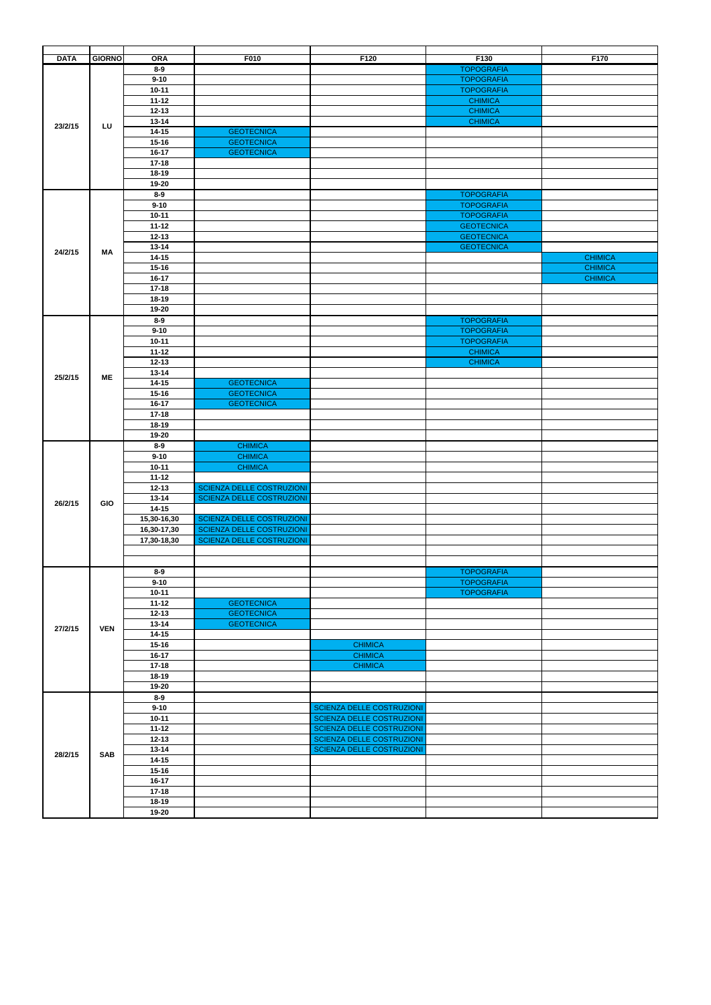| <b>DATA</b> | <b>GIORNO</b>                                                                                                                                | <b>ORA</b>                                                                                                                                                                                                                                                                                                                                                                                                                                                                                                                                                                                                                                                                                                                                                                                                                                                                                                                                                                                                                                                                                                                                                                           | F010              | F120                             | F130              | F170           |
|-------------|----------------------------------------------------------------------------------------------------------------------------------------------|--------------------------------------------------------------------------------------------------------------------------------------------------------------------------------------------------------------------------------------------------------------------------------------------------------------------------------------------------------------------------------------------------------------------------------------------------------------------------------------------------------------------------------------------------------------------------------------------------------------------------------------------------------------------------------------------------------------------------------------------------------------------------------------------------------------------------------------------------------------------------------------------------------------------------------------------------------------------------------------------------------------------------------------------------------------------------------------------------------------------------------------------------------------------------------------|-------------------|----------------------------------|-------------------|----------------|
|             |                                                                                                                                              |                                                                                                                                                                                                                                                                                                                                                                                                                                                                                                                                                                                                                                                                                                                                                                                                                                                                                                                                                                                                                                                                                                                                                                                      |                   |                                  | <b>TOPOGRAFIA</b> |                |
|             |                                                                                                                                              |                                                                                                                                                                                                                                                                                                                                                                                                                                                                                                                                                                                                                                                                                                                                                                                                                                                                                                                                                                                                                                                                                                                                                                                      |                   |                                  | <b>TOPOGRAFIA</b> |                |
|             |                                                                                                                                              |                                                                                                                                                                                                                                                                                                                                                                                                                                                                                                                                                                                                                                                                                                                                                                                                                                                                                                                                                                                                                                                                                                                                                                                      |                   |                                  |                   |                |
|             |                                                                                                                                              |                                                                                                                                                                                                                                                                                                                                                                                                                                                                                                                                                                                                                                                                                                                                                                                                                                                                                                                                                                                                                                                                                                                                                                                      |                   |                                  | <b>TOPOGRAFIA</b> |                |
|             |                                                                                                                                              |                                                                                                                                                                                                                                                                                                                                                                                                                                                                                                                                                                                                                                                                                                                                                                                                                                                                                                                                                                                                                                                                                                                                                                                      |                   |                                  | <b>CHIMICA</b>    |                |
|             |                                                                                                                                              |                                                                                                                                                                                                                                                                                                                                                                                                                                                                                                                                                                                                                                                                                                                                                                                                                                                                                                                                                                                                                                                                                                                                                                                      |                   |                                  | <b>CHIMICA</b>    |                |
|             |                                                                                                                                              | $13 - 14$                                                                                                                                                                                                                                                                                                                                                                                                                                                                                                                                                                                                                                                                                                                                                                                                                                                                                                                                                                                                                                                                                                                                                                            |                   |                                  | <b>CHIMICA</b>    |                |
| 23/2/15     |                                                                                                                                              | $14 - 15$                                                                                                                                                                                                                                                                                                                                                                                                                                                                                                                                                                                                                                                                                                                                                                                                                                                                                                                                                                                                                                                                                                                                                                            | <b>GEOTECNICA</b> |                                  |                   |                |
|             |                                                                                                                                              |                                                                                                                                                                                                                                                                                                                                                                                                                                                                                                                                                                                                                                                                                                                                                                                                                                                                                                                                                                                                                                                                                                                                                                                      |                   |                                  |                   |                |
|             |                                                                                                                                              |                                                                                                                                                                                                                                                                                                                                                                                                                                                                                                                                                                                                                                                                                                                                                                                                                                                                                                                                                                                                                                                                                                                                                                                      |                   |                                  |                   |                |
|             |                                                                                                                                              |                                                                                                                                                                                                                                                                                                                                                                                                                                                                                                                                                                                                                                                                                                                                                                                                                                                                                                                                                                                                                                                                                                                                                                                      |                   |                                  |                   |                |
|             |                                                                                                                                              |                                                                                                                                                                                                                                                                                                                                                                                                                                                                                                                                                                                                                                                                                                                                                                                                                                                                                                                                                                                                                                                                                                                                                                                      |                   |                                  |                   |                |
|             |                                                                                                                                              |                                                                                                                                                                                                                                                                                                                                                                                                                                                                                                                                                                                                                                                                                                                                                                                                                                                                                                                                                                                                                                                                                                                                                                                      |                   |                                  |                   |                |
|             |                                                                                                                                              |                                                                                                                                                                                                                                                                                                                                                                                                                                                                                                                                                                                                                                                                                                                                                                                                                                                                                                                                                                                                                                                                                                                                                                                      |                   |                                  |                   |                |
|             |                                                                                                                                              |                                                                                                                                                                                                                                                                                                                                                                                                                                                                                                                                                                                                                                                                                                                                                                                                                                                                                                                                                                                                                                                                                                                                                                                      |                   |                                  | <b>TOPOGRAFIA</b> |                |
|             |                                                                                                                                              | $9 - 10$                                                                                                                                                                                                                                                                                                                                                                                                                                                                                                                                                                                                                                                                                                                                                                                                                                                                                                                                                                                                                                                                                                                                                                             |                   |                                  | <b>TOPOGRAFIA</b> |                |
|             |                                                                                                                                              |                                                                                                                                                                                                                                                                                                                                                                                                                                                                                                                                                                                                                                                                                                                                                                                                                                                                                                                                                                                                                                                                                                                                                                                      |                   |                                  | <b>TOPOGRAFIA</b> |                |
|             |                                                                                                                                              |                                                                                                                                                                                                                                                                                                                                                                                                                                                                                                                                                                                                                                                                                                                                                                                                                                                                                                                                                                                                                                                                                                                                                                                      |                   |                                  | <b>GEOTECNICA</b> |                |
|             |                                                                                                                                              |                                                                                                                                                                                                                                                                                                                                                                                                                                                                                                                                                                                                                                                                                                                                                                                                                                                                                                                                                                                                                                                                                                                                                                                      |                   |                                  | <b>GEOTECNICA</b> |                |
|             |                                                                                                                                              |                                                                                                                                                                                                                                                                                                                                                                                                                                                                                                                                                                                                                                                                                                                                                                                                                                                                                                                                                                                                                                                                                                                                                                                      |                   |                                  |                   |                |
| 24/2/15     | MA                                                                                                                                           |                                                                                                                                                                                                                                                                                                                                                                                                                                                                                                                                                                                                                                                                                                                                                                                                                                                                                                                                                                                                                                                                                                                                                                                      |                   |                                  | <b>GEOTECNICA</b> |                |
|             |                                                                                                                                              |                                                                                                                                                                                                                                                                                                                                                                                                                                                                                                                                                                                                                                                                                                                                                                                                                                                                                                                                                                                                                                                                                                                                                                                      |                   |                                  |                   | <b>CHIMICA</b> |
|             |                                                                                                                                              |                                                                                                                                                                                                                                                                                                                                                                                                                                                                                                                                                                                                                                                                                                                                                                                                                                                                                                                                                                                                                                                                                                                                                                                      |                   |                                  |                   | <b>CHIMICA</b> |
|             |                                                                                                                                              |                                                                                                                                                                                                                                                                                                                                                                                                                                                                                                                                                                                                                                                                                                                                                                                                                                                                                                                                                                                                                                                                                                                                                                                      |                   |                                  |                   | <b>CHIMICA</b> |
|             |                                                                                                                                              | $17 - 18$                                                                                                                                                                                                                                                                                                                                                                                                                                                                                                                                                                                                                                                                                                                                                                                                                                                                                                                                                                                                                                                                                                                                                                            |                   |                                  |                   |                |
|             |                                                                                                                                              |                                                                                                                                                                                                                                                                                                                                                                                                                                                                                                                                                                                                                                                                                                                                                                                                                                                                                                                                                                                                                                                                                                                                                                                      |                   |                                  |                   |                |
|             |                                                                                                                                              |                                                                                                                                                                                                                                                                                                                                                                                                                                                                                                                                                                                                                                                                                                                                                                                                                                                                                                                                                                                                                                                                                                                                                                                      |                   |                                  |                   |                |
|             |                                                                                                                                              |                                                                                                                                                                                                                                                                                                                                                                                                                                                                                                                                                                                                                                                                                                                                                                                                                                                                                                                                                                                                                                                                                                                                                                                      |                   |                                  |                   |                |
|             |                                                                                                                                              |                                                                                                                                                                                                                                                                                                                                                                                                                                                                                                                                                                                                                                                                                                                                                                                                                                                                                                                                                                                                                                                                                                                                                                                      |                   |                                  | <b>TOPOGRAFIA</b> |                |
|             |                                                                                                                                              |                                                                                                                                                                                                                                                                                                                                                                                                                                                                                                                                                                                                                                                                                                                                                                                                                                                                                                                                                                                                                                                                                                                                                                                      |                   |                                  | <b>TOPOGRAFIA</b> |                |
|             |                                                                                                                                              | $10 - 11$                                                                                                                                                                                                                                                                                                                                                                                                                                                                                                                                                                                                                                                                                                                                                                                                                                                                                                                                                                                                                                                                                                                                                                            |                   |                                  | <b>TOPOGRAFIA</b> |                |
|             |                                                                                                                                              | $11 - 12$                                                                                                                                                                                                                                                                                                                                                                                                                                                                                                                                                                                                                                                                                                                                                                                                                                                                                                                                                                                                                                                                                                                                                                            |                   |                                  | <b>CHIMICA</b>    |                |
|             |                                                                                                                                              |                                                                                                                                                                                                                                                                                                                                                                                                                                                                                                                                                                                                                                                                                                                                                                                                                                                                                                                                                                                                                                                                                                                                                                                      |                   |                                  | <b>CHIMICA</b>    |                |
|             |                                                                                                                                              |                                                                                                                                                                                                                                                                                                                                                                                                                                                                                                                                                                                                                                                                                                                                                                                                                                                                                                                                                                                                                                                                                                                                                                                      |                   |                                  |                   |                |
| 25/2/15     |                                                                                                                                              |                                                                                                                                                                                                                                                                                                                                                                                                                                                                                                                                                                                                                                                                                                                                                                                                                                                                                                                                                                                                                                                                                                                                                                                      |                   |                                  |                   |                |
|             |                                                                                                                                              |                                                                                                                                                                                                                                                                                                                                                                                                                                                                                                                                                                                                                                                                                                                                                                                                                                                                                                                                                                                                                                                                                                                                                                                      |                   |                                  |                   |                |
|             |                                                                                                                                              | $8-9$<br>$9 - 10$<br>$10 - 11$<br>$11 - 12$<br>$12 - 13$<br><b>GEOTECNICA</b><br>$15 - 16$<br>$16-17$<br><b>GEOTECNICA</b><br>$17 - 18$<br>18-19<br>19-20<br>$8-9$<br>$10 - 11$<br>$11 - 12$<br>$12 - 13$<br>$13 - 14$<br>$14 - 15$<br>$15 - 16$<br>$16-17$<br>$18 - 19$<br>19-20<br>$8-9$<br>$9 - 10$<br>$12 - 13$<br>$13 - 14$<br><b>GEOTECNICA</b><br>$14 - 15$<br>$15 - 16$<br><b>GEOTECNICA</b><br>$16 - 17$<br><b>GEOTECNICA</b><br>$17 - 18$<br>$18 - 19$<br>19-20<br><b>CHIMICA</b><br>$8-9$<br><b>CHIMICA</b><br>$9 - 10$<br><b>CHIMICA</b><br>$10 - 11$<br>$11 - 12$<br>SCIENZA DELLE COSTRUZIONI<br>$12 - 13$<br>SCIENZA DELLE COSTRUZIONI<br>$13 - 14$<br>$14 - 15$<br>SCIENZA DELLE COSTRUZIONI<br>15,30-16,30<br>SCIENZA DELLE COSTRUZIONI<br>16,30-17,30<br>SCIENZA DELLE COSTRUZIONI<br>17,30-18,30<br>$8-9$<br>$9 - 10$<br>$10 - 11$<br><b>GEOTECNICA</b><br>$11 - 12$<br>$12 - 13$<br><b>GEOTECNICA</b><br><b>GEOTECNICA</b><br>$13 - 14$<br>$14 - 15$<br>$15 - 16$<br>$16 - 17$<br>$17 - 18$<br>$18-19$<br>19-20<br>$8-9$<br>$9 - 10$<br>$10 - 11$<br>$11 - 12$<br>$12 - 13$<br>$13 - 14$<br>$14 - 15$<br>$15 - 16$<br>$16 - 17$<br>$17 - 18$<br>$18-19$<br>19-20 |                   |                                  |                   |                |
|             |                                                                                                                                              |                                                                                                                                                                                                                                                                                                                                                                                                                                                                                                                                                                                                                                                                                                                                                                                                                                                                                                                                                                                                                                                                                                                                                                                      |                   |                                  |                   |                |
|             | LU<br>ME<br><b>GIO</b><br><b>VEN</b><br><b>CHIMICA</b><br><b>CHIMICA</b><br><b>CHIMICA</b><br><b>SCIENZA DELLE COSTRUZIONI</b><br><b>SAB</b> |                                                                                                                                                                                                                                                                                                                                                                                                                                                                                                                                                                                                                                                                                                                                                                                                                                                                                                                                                                                                                                                                                                                                                                                      |                   |                                  |                   |                |
|             |                                                                                                                                              |                                                                                                                                                                                                                                                                                                                                                                                                                                                                                                                                                                                                                                                                                                                                                                                                                                                                                                                                                                                                                                                                                                                                                                                      |                   |                                  |                   |                |
|             |                                                                                                                                              |                                                                                                                                                                                                                                                                                                                                                                                                                                                                                                                                                                                                                                                                                                                                                                                                                                                                                                                                                                                                                                                                                                                                                                                      |                   |                                  |                   |                |
|             |                                                                                                                                              |                                                                                                                                                                                                                                                                                                                                                                                                                                                                                                                                                                                                                                                                                                                                                                                                                                                                                                                                                                                                                                                                                                                                                                                      |                   |                                  |                   |                |
|             |                                                                                                                                              |                                                                                                                                                                                                                                                                                                                                                                                                                                                                                                                                                                                                                                                                                                                                                                                                                                                                                                                                                                                                                                                                                                                                                                                      |                   |                                  |                   |                |
|             |                                                                                                                                              |                                                                                                                                                                                                                                                                                                                                                                                                                                                                                                                                                                                                                                                                                                                                                                                                                                                                                                                                                                                                                                                                                                                                                                                      |                   |                                  |                   |                |
|             |                                                                                                                                              |                                                                                                                                                                                                                                                                                                                                                                                                                                                                                                                                                                                                                                                                                                                                                                                                                                                                                                                                                                                                                                                                                                                                                                                      |                   |                                  |                   |                |
|             |                                                                                                                                              |                                                                                                                                                                                                                                                                                                                                                                                                                                                                                                                                                                                                                                                                                                                                                                                                                                                                                                                                                                                                                                                                                                                                                                                      |                   |                                  |                   |                |
|             |                                                                                                                                              |                                                                                                                                                                                                                                                                                                                                                                                                                                                                                                                                                                                                                                                                                                                                                                                                                                                                                                                                                                                                                                                                                                                                                                                      |                   |                                  |                   |                |
|             |                                                                                                                                              |                                                                                                                                                                                                                                                                                                                                                                                                                                                                                                                                                                                                                                                                                                                                                                                                                                                                                                                                                                                                                                                                                                                                                                                      |                   |                                  |                   |                |
| 26/2/15     |                                                                                                                                              |                                                                                                                                                                                                                                                                                                                                                                                                                                                                                                                                                                                                                                                                                                                                                                                                                                                                                                                                                                                                                                                                                                                                                                                      |                   |                                  |                   |                |
|             |                                                                                                                                              |                                                                                                                                                                                                                                                                                                                                                                                                                                                                                                                                                                                                                                                                                                                                                                                                                                                                                                                                                                                                                                                                                                                                                                                      |                   |                                  |                   |                |
|             |                                                                                                                                              |                                                                                                                                                                                                                                                                                                                                                                                                                                                                                                                                                                                                                                                                                                                                                                                                                                                                                                                                                                                                                                                                                                                                                                                      |                   |                                  |                   |                |
|             |                                                                                                                                              |                                                                                                                                                                                                                                                                                                                                                                                                                                                                                                                                                                                                                                                                                                                                                                                                                                                                                                                                                                                                                                                                                                                                                                                      |                   |                                  |                   |                |
|             |                                                                                                                                              |                                                                                                                                                                                                                                                                                                                                                                                                                                                                                                                                                                                                                                                                                                                                                                                                                                                                                                                                                                                                                                                                                                                                                                                      |                   |                                  |                   |                |
|             |                                                                                                                                              |                                                                                                                                                                                                                                                                                                                                                                                                                                                                                                                                                                                                                                                                                                                                                                                                                                                                                                                                                                                                                                                                                                                                                                                      |                   |                                  |                   |                |
|             |                                                                                                                                              |                                                                                                                                                                                                                                                                                                                                                                                                                                                                                                                                                                                                                                                                                                                                                                                                                                                                                                                                                                                                                                                                                                                                                                                      |                   |                                  |                   |                |
|             |                                                                                                                                              |                                                                                                                                                                                                                                                                                                                                                                                                                                                                                                                                                                                                                                                                                                                                                                                                                                                                                                                                                                                                                                                                                                                                                                                      |                   |                                  | <b>TOPOGRAFIA</b> |                |
|             |                                                                                                                                              |                                                                                                                                                                                                                                                                                                                                                                                                                                                                                                                                                                                                                                                                                                                                                                                                                                                                                                                                                                                                                                                                                                                                                                                      |                   |                                  | <b>TOPOGRAFIA</b> |                |
|             |                                                                                                                                              |                                                                                                                                                                                                                                                                                                                                                                                                                                                                                                                                                                                                                                                                                                                                                                                                                                                                                                                                                                                                                                                                                                                                                                                      |                   |                                  | <b>TOPOGRAFIA</b> |                |
|             |                                                                                                                                              |                                                                                                                                                                                                                                                                                                                                                                                                                                                                                                                                                                                                                                                                                                                                                                                                                                                                                                                                                                                                                                                                                                                                                                                      |                   |                                  |                   |                |
|             |                                                                                                                                              |                                                                                                                                                                                                                                                                                                                                                                                                                                                                                                                                                                                                                                                                                                                                                                                                                                                                                                                                                                                                                                                                                                                                                                                      |                   |                                  |                   |                |
|             |                                                                                                                                              |                                                                                                                                                                                                                                                                                                                                                                                                                                                                                                                                                                                                                                                                                                                                                                                                                                                                                                                                                                                                                                                                                                                                                                                      |                   |                                  |                   |                |
| 27/2/15     |                                                                                                                                              |                                                                                                                                                                                                                                                                                                                                                                                                                                                                                                                                                                                                                                                                                                                                                                                                                                                                                                                                                                                                                                                                                                                                                                                      |                   |                                  |                   |                |
|             |                                                                                                                                              |                                                                                                                                                                                                                                                                                                                                                                                                                                                                                                                                                                                                                                                                                                                                                                                                                                                                                                                                                                                                                                                                                                                                                                                      |                   |                                  |                   |                |
|             |                                                                                                                                              |                                                                                                                                                                                                                                                                                                                                                                                                                                                                                                                                                                                                                                                                                                                                                                                                                                                                                                                                                                                                                                                                                                                                                                                      |                   |                                  |                   |                |
|             |                                                                                                                                              |                                                                                                                                                                                                                                                                                                                                                                                                                                                                                                                                                                                                                                                                                                                                                                                                                                                                                                                                                                                                                                                                                                                                                                                      |                   |                                  |                   |                |
|             |                                                                                                                                              |                                                                                                                                                                                                                                                                                                                                                                                                                                                                                                                                                                                                                                                                                                                                                                                                                                                                                                                                                                                                                                                                                                                                                                                      |                   |                                  |                   |                |
|             |                                                                                                                                              |                                                                                                                                                                                                                                                                                                                                                                                                                                                                                                                                                                                                                                                                                                                                                                                                                                                                                                                                                                                                                                                                                                                                                                                      |                   |                                  |                   |                |
|             |                                                                                                                                              |                                                                                                                                                                                                                                                                                                                                                                                                                                                                                                                                                                                                                                                                                                                                                                                                                                                                                                                                                                                                                                                                                                                                                                                      |                   |                                  |                   |                |
|             |                                                                                                                                              |                                                                                                                                                                                                                                                                                                                                                                                                                                                                                                                                                                                                                                                                                                                                                                                                                                                                                                                                                                                                                                                                                                                                                                                      |                   |                                  |                   |                |
|             |                                                                                                                                              |                                                                                                                                                                                                                                                                                                                                                                                                                                                                                                                                                                                                                                                                                                                                                                                                                                                                                                                                                                                                                                                                                                                                                                                      |                   |                                  |                   |                |
|             |                                                                                                                                              |                                                                                                                                                                                                                                                                                                                                                                                                                                                                                                                                                                                                                                                                                                                                                                                                                                                                                                                                                                                                                                                                                                                                                                                      |                   | SCIENZA DELLE COSTRUZIONI        |                   |                |
|             |                                                                                                                                              |                                                                                                                                                                                                                                                                                                                                                                                                                                                                                                                                                                                                                                                                                                                                                                                                                                                                                                                                                                                                                                                                                                                                                                                      |                   | SCIENZA DELLE COSTRUZIONI        |                   |                |
|             |                                                                                                                                              |                                                                                                                                                                                                                                                                                                                                                                                                                                                                                                                                                                                                                                                                                                                                                                                                                                                                                                                                                                                                                                                                                                                                                                                      |                   | SCIENZA DELLE COSTRUZIONI        |                   |                |
|             |                                                                                                                                              |                                                                                                                                                                                                                                                                                                                                                                                                                                                                                                                                                                                                                                                                                                                                                                                                                                                                                                                                                                                                                                                                                                                                                                                      |                   |                                  |                   |                |
|             |                                                                                                                                              |                                                                                                                                                                                                                                                                                                                                                                                                                                                                                                                                                                                                                                                                                                                                                                                                                                                                                                                                                                                                                                                                                                                                                                                      |                   |                                  |                   |                |
| 28/2/15     |                                                                                                                                              |                                                                                                                                                                                                                                                                                                                                                                                                                                                                                                                                                                                                                                                                                                                                                                                                                                                                                                                                                                                                                                                                                                                                                                                      |                   | <b>SCIENZA DELLE COSTRUZIONI</b> |                   |                |
|             |                                                                                                                                              |                                                                                                                                                                                                                                                                                                                                                                                                                                                                                                                                                                                                                                                                                                                                                                                                                                                                                                                                                                                                                                                                                                                                                                                      |                   |                                  |                   |                |
|             |                                                                                                                                              |                                                                                                                                                                                                                                                                                                                                                                                                                                                                                                                                                                                                                                                                                                                                                                                                                                                                                                                                                                                                                                                                                                                                                                                      |                   |                                  |                   |                |
|             |                                                                                                                                              |                                                                                                                                                                                                                                                                                                                                                                                                                                                                                                                                                                                                                                                                                                                                                                                                                                                                                                                                                                                                                                                                                                                                                                                      |                   |                                  |                   |                |
|             |                                                                                                                                              |                                                                                                                                                                                                                                                                                                                                                                                                                                                                                                                                                                                                                                                                                                                                                                                                                                                                                                                                                                                                                                                                                                                                                                                      |                   |                                  |                   |                |
|             |                                                                                                                                              |                                                                                                                                                                                                                                                                                                                                                                                                                                                                                                                                                                                                                                                                                                                                                                                                                                                                                                                                                                                                                                                                                                                                                                                      |                   |                                  |                   |                |
|             |                                                                                                                                              |                                                                                                                                                                                                                                                                                                                                                                                                                                                                                                                                                                                                                                                                                                                                                                                                                                                                                                                                                                                                                                                                                                                                                                                      |                   |                                  |                   |                |
|             |                                                                                                                                              |                                                                                                                                                                                                                                                                                                                                                                                                                                                                                                                                                                                                                                                                                                                                                                                                                                                                                                                                                                                                                                                                                                                                                                                      |                   |                                  |                   |                |